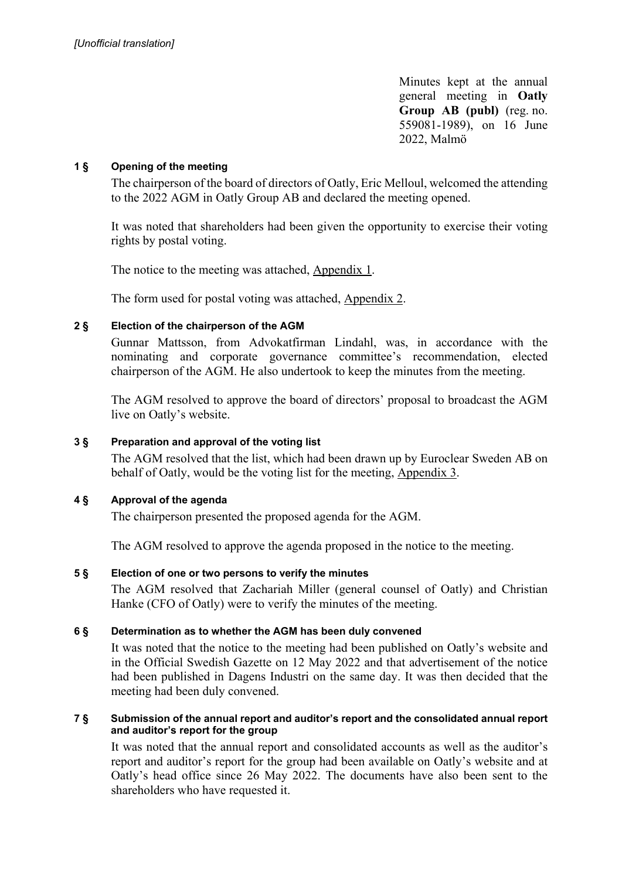Minutes kept at the annual general meeting in **Oatly Group AB (publ)** (reg. no. 559081-1989), on 16 June 2022, Malmö

# **1 § Opening of the meeting**

The chairperson of the board of directors of Oatly, Eric Melloul, welcomed the attending to the 2022 AGM in Oatly Group AB and declared the meeting opened.

It was noted that shareholders had been given the opportunity to exercise their voting rights by postal voting.

The notice to the meeting was attached, Appendix 1.

The form used for postal voting was attached, Appendix 2.

# **2 § Election of the chairperson of the AGM**

Gunnar Mattsson, from Advokatfirman Lindahl, was, in accordance with the nominating and corporate governance committee's recommendation, elected chairperson of the AGM. He also undertook to keep the minutes from the meeting.

The AGM resolved to approve the board of directors' proposal to broadcast the AGM live on Oatly's website.

# **3 § Preparation and approval of the voting list**

The AGM resolved that the list, which had been drawn up by Euroclear Sweden AB on behalf of Oatly, would be the voting list for the meeting, Appendix 3.

# **4 § Approval of the agenda**

The chairperson presented the proposed agenda for the AGM.

The AGM resolved to approve the agenda proposed in the notice to the meeting.

# **5 § Election of one or two persons to verify the minutes**

The AGM resolved that Zachariah Miller (general counsel of Oatly) and Christian Hanke (CFO of Oatly) were to verify the minutes of the meeting.

# **6 § Determination as to whether the AGM has been duly convened**

It was noted that the notice to the meeting had been published on Oatly's website and in the Official Swedish Gazette on 12 May 2022 and that advertisement of the notice had been published in Dagens Industri on the same day. It was then decided that the meeting had been duly convened.

## **7 § Submission of the annual report and auditor's report and the consolidated annual report and auditor's report for the group**

It was noted that the annual report and consolidated accounts as well as the auditor's report and auditor's report for the group had been available on Oatly's website and at Oatly's head office since 26 May 2022. The documents have also been sent to the shareholders who have requested it.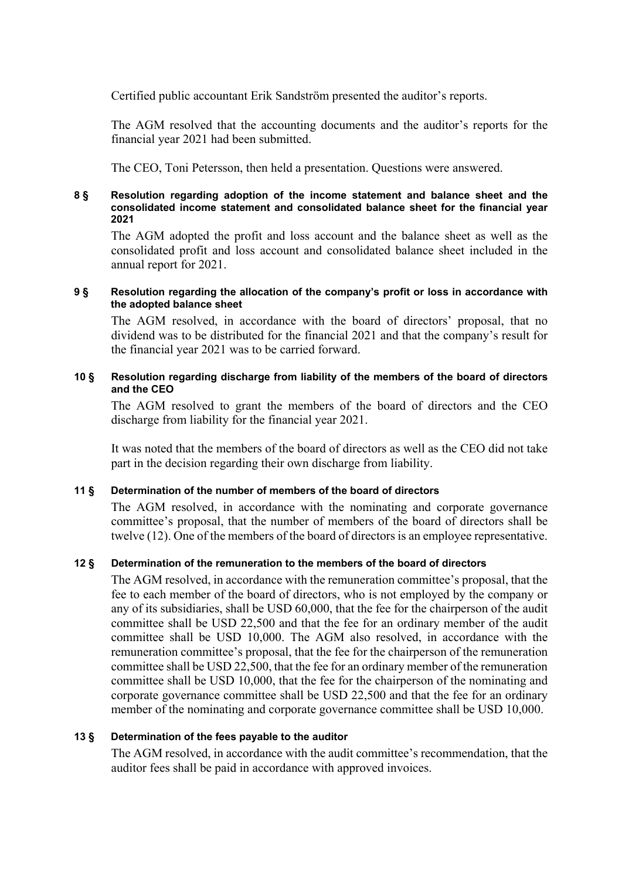Certified public accountant Erik Sandström presented the auditor's reports.

The AGM resolved that the accounting documents and the auditor's reports for the financial year 2021 had been submitted.

The CEO, Toni Petersson, then held a presentation. Questions were answered.

#### **8 § Resolution regarding adoption of the income statement and balance sheet and the consolidated income statement and consolidated balance sheet for the financial year 2021**

The AGM adopted the profit and loss account and the balance sheet as well as the consolidated profit and loss account and consolidated balance sheet included in the annual report for 2021.

#### **9 § Resolution regarding the allocation of the company's profit or loss in accordance with the adopted balance sheet**

The AGM resolved, in accordance with the board of directors' proposal, that no dividend was to be distributed for the financial 2021 and that the company's result for the financial year 2021 was to be carried forward.

## **10 § Resolution regarding discharge from liability of the members of the board of directors and the CEO**

The AGM resolved to grant the members of the board of directors and the CEO discharge from liability for the financial year 2021.

It was noted that the members of the board of directors as well as the CEO did not take part in the decision regarding their own discharge from liability.

#### **11 § Determination of the number of members of the board of directors**

The AGM resolved, in accordance with the nominating and corporate governance committee's proposal, that the number of members of the board of directors shall be twelve (12). One of the members of the board of directors is an employee representative.

#### **12 § Determination of the remuneration to the members of the board of directors**

The AGM resolved, in accordance with the remuneration committee's proposal, that the fee to each member of the board of directors, who is not employed by the company or any of its subsidiaries, shall be USD 60,000, that the fee for the chairperson of the audit committee shall be USD 22,500 and that the fee for an ordinary member of the audit committee shall be USD 10,000. The AGM also resolved, in accordance with the remuneration committee's proposal, that the fee for the chairperson of the remuneration committee shall be USD 22,500, that the fee for an ordinary member of the remuneration committee shall be USD 10,000, that the fee for the chairperson of the nominating and corporate governance committee shall be USD 22,500 and that the fee for an ordinary member of the nominating and corporate governance committee shall be USD 10,000.

#### **13 § Determination of the fees payable to the auditor**

The AGM resolved, in accordance with the audit committee's recommendation, that the auditor fees shall be paid in accordance with approved invoices.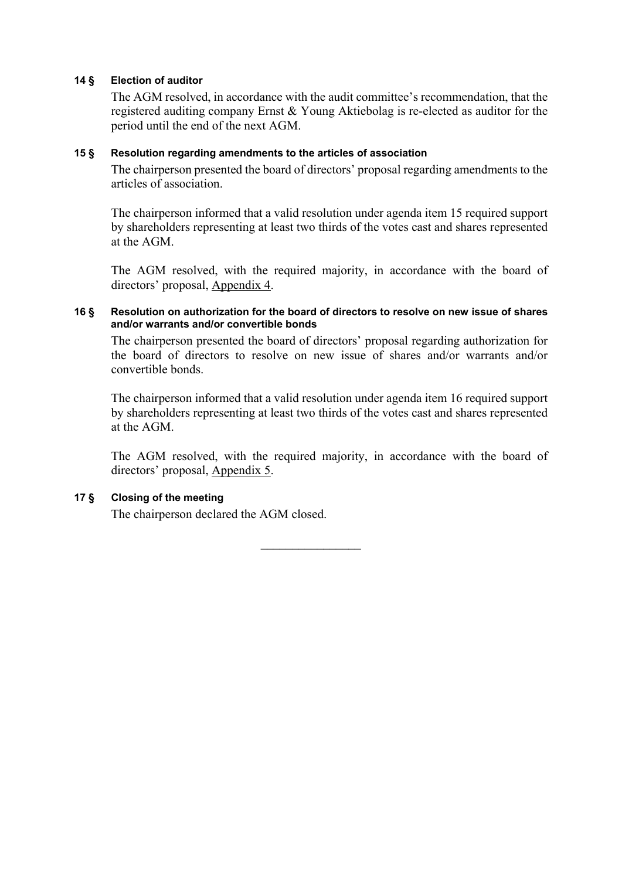# **14 § Election of auditor**

The AGM resolved, in accordance with the audit committee's recommendation, that the registered auditing company Ernst & Young Aktiebolag is re-elected as auditor for the period until the end of the next AGM.

## **15 § Resolution regarding amendments to the articles of association**

The chairperson presented the board of directors' proposal regarding amendments to the articles of association.

The chairperson informed that a valid resolution under agenda item 15 required support by shareholders representing at least two thirds of the votes cast and shares represented at the AGM.

The AGM resolved, with the required majority, in accordance with the board of directors' proposal, Appendix 4.

# **16 § Resolution on authorization for the board of directors to resolve on new issue of shares and/or warrants and/or convertible bonds**

The chairperson presented the board of directors' proposal regarding authorization for the board of directors to resolve on new issue of shares and/or warrants and/or convertible bonds.

The chairperson informed that a valid resolution under agenda item 16 required support by shareholders representing at least two thirds of the votes cast and shares represented at the AGM.

The AGM resolved, with the required majority, in accordance with the board of directors' proposal, Appendix 5.

# **17 § Closing of the meeting**

The chairperson declared the AGM closed.

 $\frac{1}{2}$  ,  $\frac{1}{2}$  ,  $\frac{1}{2}$  ,  $\frac{1}{2}$  ,  $\frac{1}{2}$  ,  $\frac{1}{2}$  ,  $\frac{1}{2}$  ,  $\frac{1}{2}$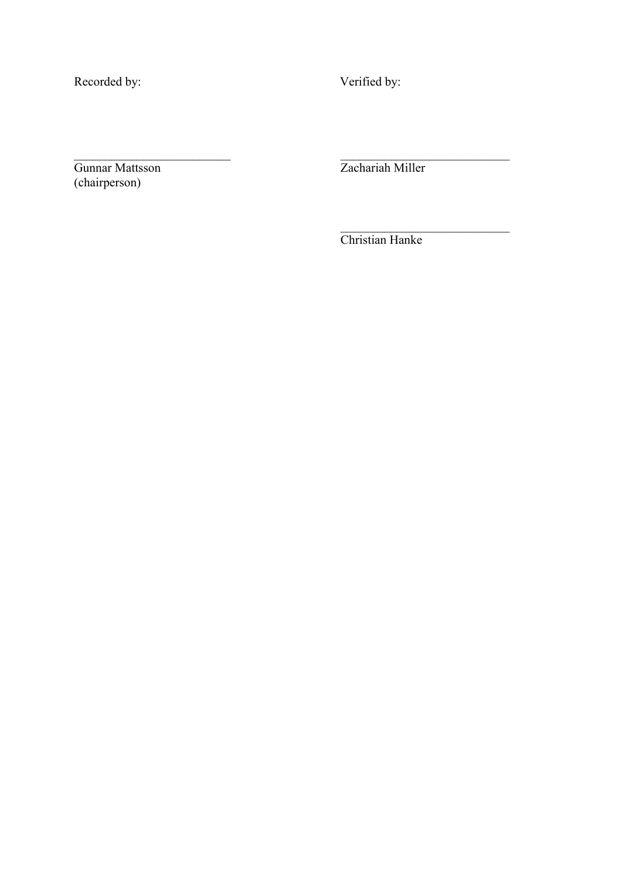Recorded by:  $V$ erified by:

Gunnar Mattsson Zachariah Miller (chairperson)

Christian Hanke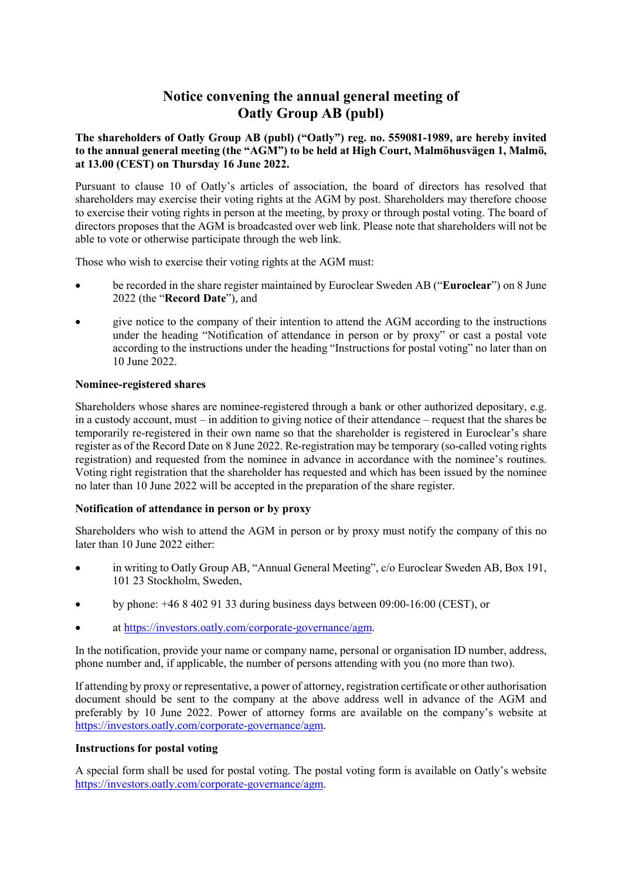# **Notice convening the annual general meeting of Oatly Group AB (publ)**

**The shareholders of Oatly Group AB (publ) ("Oatly") reg. no. 559081-1989, are hereby invited to the annual general meeting (the "AGM") to be held at High Court, Malmöhusvägen 1, Malmö, at 13.00 (CEST) on Thursday 16 June 2022.** 

Pursuant to clause 10 of Oatly's articles of association, the board of directors has resolved that shareholders may exercise their voting rights at the AGM by post. Shareholders may therefore choose to exercise their voting rights in person at the meeting, by proxy or through postal voting. The board of directors proposes that the AGM is broadcasted over web link. Please note that shareholders will not be able to vote or otherwise participate through the web link.

Those who wish to exercise their voting rights at the AGM must:

- be recorded in the share register maintained by Euroclear Sweden AB ("**Euroclear**") on 8 June 2022 (the "**Record Date**"), and
- give notice to the company of their intention to attend the AGM according to the instructions under the heading "Notification of attendance in person or by proxy" or cast a postal vote according to the instructions under the heading "Instructions for postal voting" no later than on 10 June 2022.

## **Nominee-registered shares**

Shareholders whose shares are nominee-registered through a bank or other authorized depositary, e.g. in a custody account, must – in addition to giving notice of their attendance – request that the shares be temporarily re-registered in their own name so that the shareholder is registered in Euroclear's share register as of the Record Date on 8 June 2022. Re-registration may be temporary (so-called voting rights registration) and requested from the nominee in advance in accordance with the nominee's routines. Voting right registration that the shareholder has requested and which has been issued by the nominee no later than 10 June 2022 will be accepted in the preparation of the share register.

# **Notification of attendance in person or by proxy**

Shareholders who wish to attend the AGM in person or by proxy must notify the company of this no later than 10 June 2022 either:

- in writing to Oatly Group AB, "Annual General Meeting", c/o Euroclear Sweden AB, Box 191, 101 23 Stockholm, Sweden,
- by phone: +46 8 402 91 33 during business days between 09:00-16:00 (CEST), or
- at [https://investors.oatly.com/corporate-governance/agm.](https://investors.oatly.com/corporate-governance/agm)

In the notification, provide your name or company name, personal or organisation ID number, address, phone number and, if applicable, the number of persons attending with you (no more than two).

If attending by proxy or representative, a power of attorney, registration certificate or other authorisation document should be sent to the company at the above address well in advance of the AGM and preferably by 10 June 2022. Power of attorney forms are available on the company's website at [https://investors.oatly.com/corporate-governance/agm.](https://investors.oatly.com/corporate-governance/agm)

# **Instructions for postal voting**

A special form shall be used for postal voting. The postal voting form is available on Oatly's website [https://investors.oatly.com/corporate-governance/agm.](https://investors.oatly.com/corporate-governance/agm)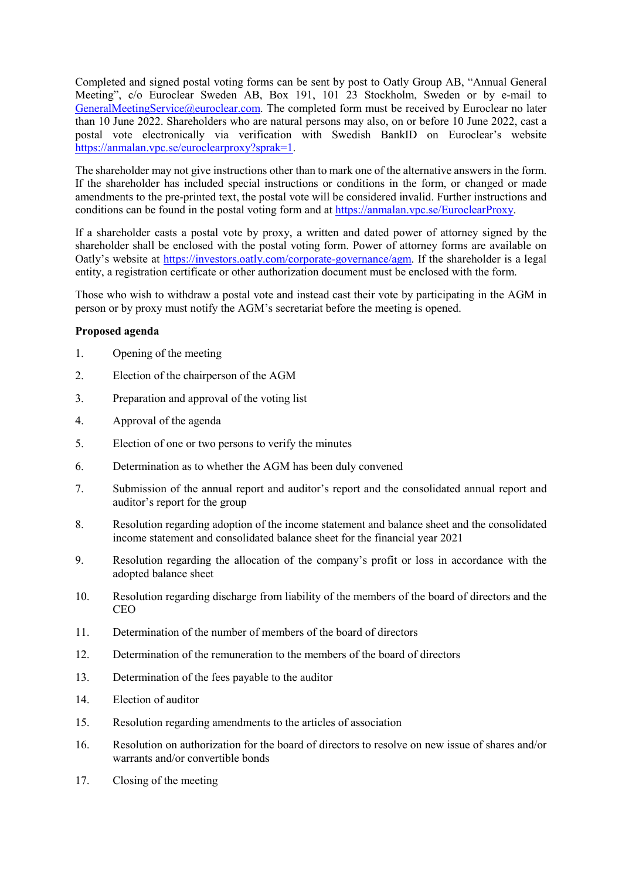Completed and signed postal voting forms can be sent by post to Oatly Group AB, "Annual General Meeting", c/o Euroclear Sweden AB, Box 191, 101 23 Stockholm, Sweden or by e-mail to [GeneralMeetingService@euroclear.com.](mailto:GeneralMeetingService@euroclear.com) The completed form must be received by Euroclear no later than 10 June 2022. Shareholders who are natural persons may also, on or before 10 June 2022, cast a postal vote electronically via verification with Swedish BankID on Euroclear's website [https://anmalan.vpc.se/euroclearproxy?sprak=1.](https://anmalan.vpc.se/euroclearproxy?sprak=1)

The shareholder may not give instructions other than to mark one of the alternative answers in the form. If the shareholder has included special instructions or conditions in the form, or changed or made amendments to the pre-printed text, the postal vote will be considered invalid. Further instructions and conditions can be found in the postal voting form and at [https://anmalan.vpc.se/EuroclearProxy.](https://anmalan.vpc.se/EuroclearProxy)

If a shareholder casts a postal vote by proxy, a written and dated power of attorney signed by the shareholder shall be enclosed with the postal voting form. Power of attorney forms are available on Oatly's website at [https://investors.oatly.com/corporate-governance/agm.](https://investors.oatly.com/corporate-governance/agm) If the shareholder is a legal entity, a registration certificate or other authorization document must be enclosed with the form.

Those who wish to withdraw a postal vote and instead cast their vote by participating in the AGM in person or by proxy must notify the AGM's secretariat before the meeting is opened.

#### **Proposed agenda**

- 1. Opening of the meeting
- 2. Election of the chairperson of the AGM
- 3. Preparation and approval of the voting list
- 4. Approval of the agenda
- 5. Election of one or two persons to verify the minutes
- 6. Determination as to whether the AGM has been duly convened
- 7. Submission of the annual report and auditor's report and the consolidated annual report and auditor's report for the group
- 8. Resolution regarding adoption of the income statement and balance sheet and the consolidated income statement and consolidated balance sheet for the financial year 2021
- 9. Resolution regarding the allocation of the company's profit or loss in accordance with the adopted balance sheet
- 10. Resolution regarding discharge from liability of the members of the board of directors and the CEO
- 11. Determination of the number of members of the board of directors
- 12. Determination of the remuneration to the members of the board of directors
- 13. Determination of the fees payable to the auditor
- 14. Election of auditor
- 15. Resolution regarding amendments to the articles of association
- 16. Resolution on authorization for the board of directors to resolve on new issue of shares and/or warrants and/or convertible bonds
- 17. Closing of the meeting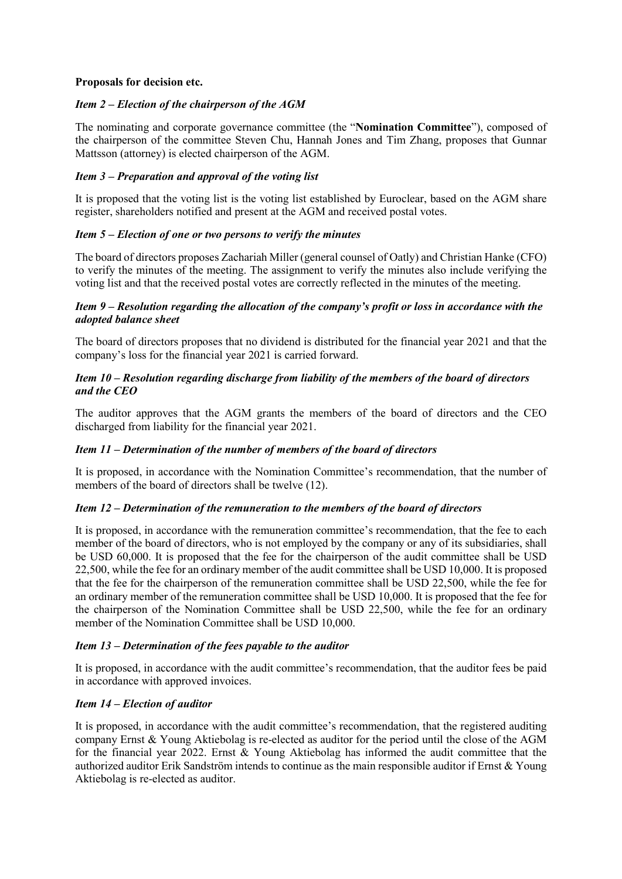#### **Proposals for decision etc.**

# *Item 2 – Election of the chairperson of the AGM*

The nominating and corporate governance committee (the "**Nomination Committee**"), composed of the chairperson of the committee Steven Chu, Hannah Jones and Tim Zhang, proposes that Gunnar Mattsson (attorney) is elected chairperson of the AGM.

# *Item 3 – Preparation and approval of the voting list*

It is proposed that the voting list is the voting list established by Euroclear, based on the AGM share register, shareholders notified and present at the AGM and received postal votes.

## *Item 5 – Election of one or two persons to verify the minutes*

The board of directors proposes Zachariah Miller (general counsel of Oatly) and Christian Hanke (CFO) to verify the minutes of the meeting. The assignment to verify the minutes also include verifying the voting list and that the received postal votes are correctly reflected in the minutes of the meeting.

## *Item 9 – Resolution regarding the allocation of the company's profit or loss in accordance with the adopted balance sheet*

The board of directors proposes that no dividend is distributed for the financial year 2021 and that the company's loss for the financial year 2021 is carried forward.

## *Item 10 – Resolution regarding discharge from liability of the members of the board of directors and the CEO*

The auditor approves that the AGM grants the members of the board of directors and the CEO discharged from liability for the financial year 2021.

# *Item 11 – Determination of the number of members of the board of directors*

It is proposed, in accordance with the Nomination Committee's recommendation, that the number of members of the board of directors shall be twelve (12).

#### *Item 12 – Determination of the remuneration to the members of the board of directors*

It is proposed, in accordance with the remuneration committee's recommendation, that the fee to each member of the board of directors, who is not employed by the company or any of its subsidiaries, shall be USD 60,000. It is proposed that the fee for the chairperson of the audit committee shall be USD 22,500, while the fee for an ordinary member of the audit committee shall be USD 10,000. It is proposed that the fee for the chairperson of the remuneration committee shall be USD 22,500, while the fee for an ordinary member of the remuneration committee shall be USD 10,000. It is proposed that the fee for the chairperson of the Nomination Committee shall be USD 22,500, while the fee for an ordinary member of the Nomination Committee shall be USD 10,000.

#### *Item 13 – Determination of the fees payable to the auditor*

It is proposed, in accordance with the audit committee's recommendation, that the auditor fees be paid in accordance with approved invoices.

# *Item 14 – Election of auditor*

It is proposed, in accordance with the audit committee's recommendation, that the registered auditing company Ernst & Young Aktiebolag is re-elected as auditor for the period until the close of the AGM for the financial year 2022. Ernst & Young Aktiebolag has informed the audit committee that the authorized auditor Erik Sandström intends to continue as the main responsible auditor if Ernst & Young Aktiebolag is re-elected as auditor.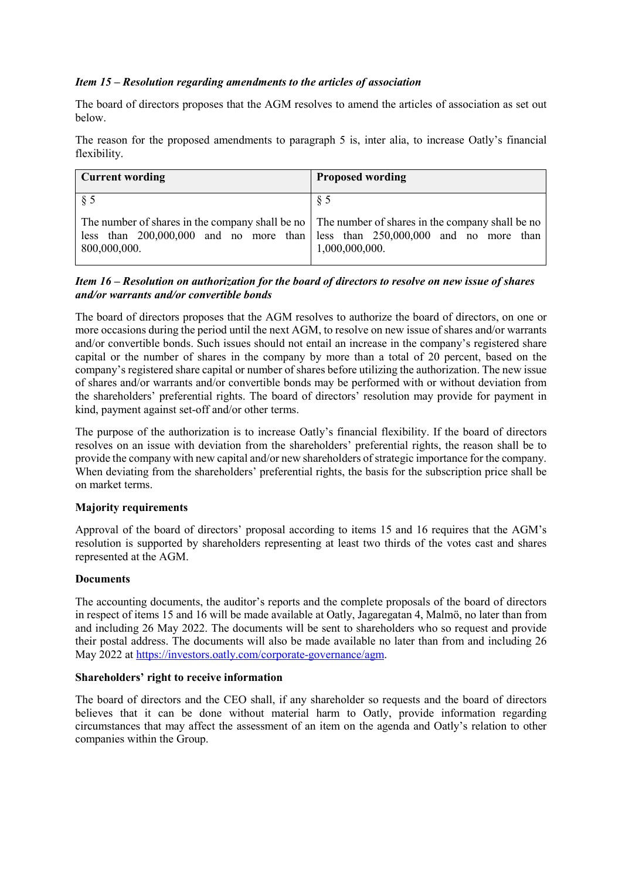## *Item 15 – Resolution regarding amendments to the articles of association*

The board of directors proposes that the AGM resolves to amend the articles of association as set out below.

The reason for the proposed amendments to paragraph 5 is, inter alia, to increase Oatly's financial flexibility.

| <b>Current wording</b>                                                                                          | <b>Proposed wording</b>                                                                             |
|-----------------------------------------------------------------------------------------------------------------|-----------------------------------------------------------------------------------------------------|
| § 5                                                                                                             | § 5                                                                                                 |
| The number of shares in the company shall be no The number of shares in the company shall be no<br>800,000,000. | less than $200,000,000$ and no more than less than $250,000,000$ and no more than<br>1,000,000,000. |

# *Item 16 – Resolution on authorization for the board of directors to resolve on new issue of shares and/or warrants and/or convertible bonds*

The board of directors proposes that the AGM resolves to authorize the board of directors, on one or more occasions during the period until the next AGM, to resolve on new issue of shares and/or warrants and/or convertible bonds. Such issues should not entail an increase in the company's registered share capital or the number of shares in the company by more than a total of 20 percent, based on the company's registered share capital or number of shares before utilizing the authorization. The new issue of shares and/or warrants and/or convertible bonds may be performed with or without deviation from the shareholders' preferential rights. The board of directors' resolution may provide for payment in kind, payment against set-off and/or other terms.

The purpose of the authorization is to increase Oatly's financial flexibility. If the board of directors resolves on an issue with deviation from the shareholders' preferential rights, the reason shall be to provide the company with new capital and/or new shareholders of strategic importance for the company. When deviating from the shareholders' preferential rights, the basis for the subscription price shall be on market terms.

#### **Majority requirements**

Approval of the board of directors' proposal according to items 15 and 16 requires that the AGM's resolution is supported by shareholders representing at least two thirds of the votes cast and shares represented at the AGM.

#### **Documents**

The accounting documents, the auditor's reports and the complete proposals of the board of directors in respect of items 15 and 16 will be made available at Oatly, Jagaregatan 4, Malmö, no later than from and including 26 May 2022. The documents will be sent to shareholders who so request and provide their postal address. The documents will also be made available no later than from and including 26 May 2022 at [https://investors.oatly.com/corporate-governance/agm.](https://investors.oatly.com/corporate-governance/agm)

#### **Shareholders' right to receive information**

The board of directors and the CEO shall, if any shareholder so requests and the board of directors believes that it can be done without material harm to Oatly, provide information regarding circumstances that may affect the assessment of an item on the agenda and Oatly's relation to other companies within the Group.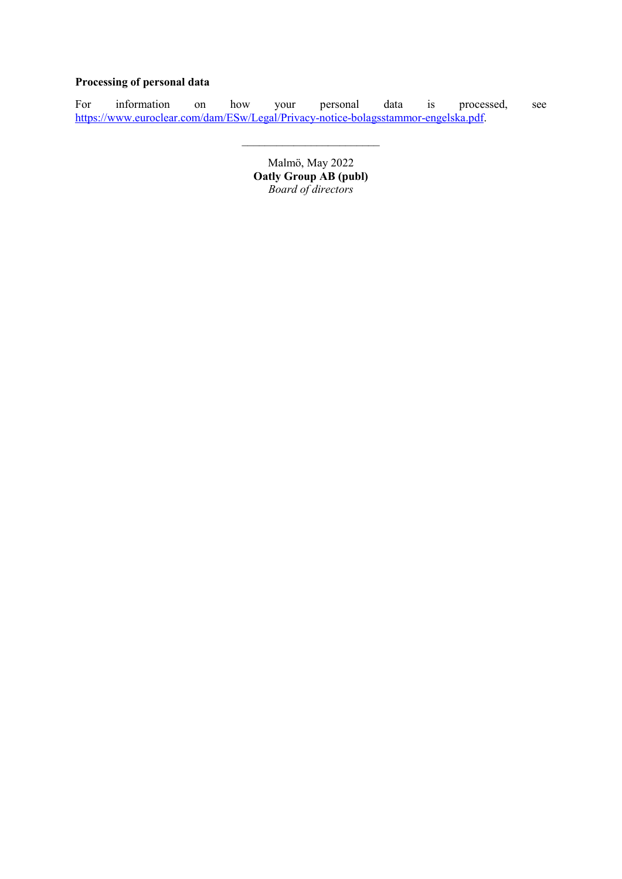# **Processing of personal data**

For information on how your personal data is processed, see [https://www.euroclear.com/dam/ESw/Legal/Privacy-notice-bolagsstammor-engelska.pdf.](https://www.euroclear.com/dam/ESw/Legal/Privacy-notice-bolagsstammor-engelska.pdf)

 $\mathcal{L}_\text{max}$ 

Malmö, May 2022 **Oatly Group AB (publ)**  *Board of directors*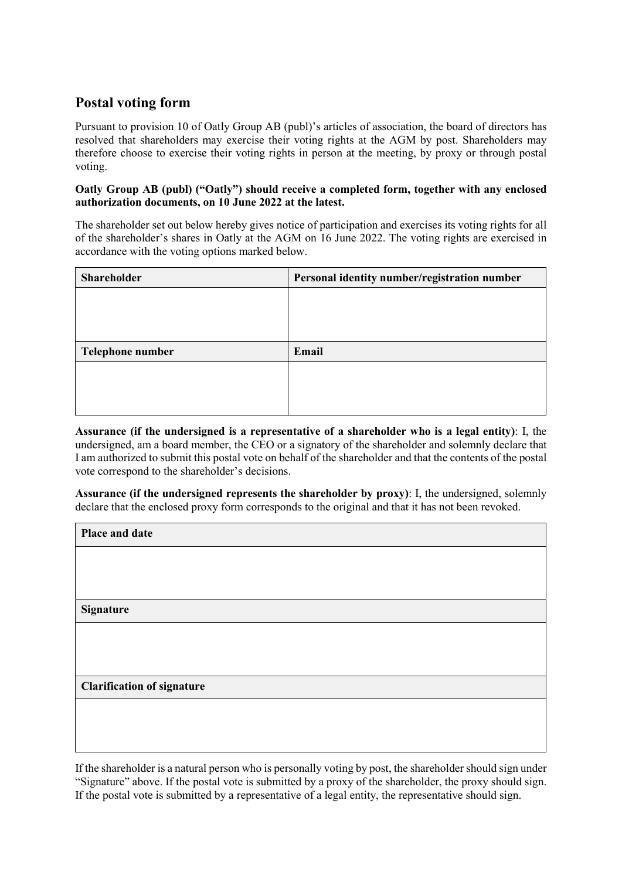# **Postal voting form**

Pursuant to provision 10 of Oatly Group AB (publ)'s articles of association, the board of directors has resolved that shareholders may exercise their voting rights at the AGM by post. Shareholders may therefore choose to exercise their voting rights in person at the meeting, by proxy or through postal voting.

#### **Oatly Group AB (publ) ("Oatly") should receive a completed form, together with any enclosed authorization documents, on 10 June 2022 at the latest.**

The shareholder set out below hereby gives notice of participation and exercises its voting rights for all of the shareholder's shares in Oatly at the AGM on 16 June 2022. The voting rights are exercised in accordance with the voting options marked below.

| <b>Shareholder</b> | Personal identity number/registration number |
|--------------------|----------------------------------------------|
|                    |                                              |
|                    |                                              |
|                    |                                              |
| Telephone number   | Email                                        |
|                    |                                              |
|                    |                                              |
|                    |                                              |

**Assurance (if the undersigned is a representative of a shareholder who is a legal entity)**: I, the undersigned, am a board member, the CEO or a signatory of the shareholder and solemnly declare that I am authorized to submit this postal vote on behalf of the shareholder and that the contents of the postal vote correspond to the shareholder's decisions.

**Assurance (if the undersigned represents the shareholder by proxy)**: I, the undersigned, solemnly declare that the enclosed proxy form corresponds to the original and that it has not been revoked.

| Place and date                    |
|-----------------------------------|
|                                   |
|                                   |
| <b>Signature</b>                  |
|                                   |
|                                   |
| <b>Clarification of signature</b> |
|                                   |
|                                   |

If the shareholder is a natural person who is personally voting by post, the shareholder should sign under "Signature" above. If the postal vote is submitted by a proxy of the shareholder, the proxy should sign. If the postal vote is submitted by a representative of a legal entity, the representative should sign.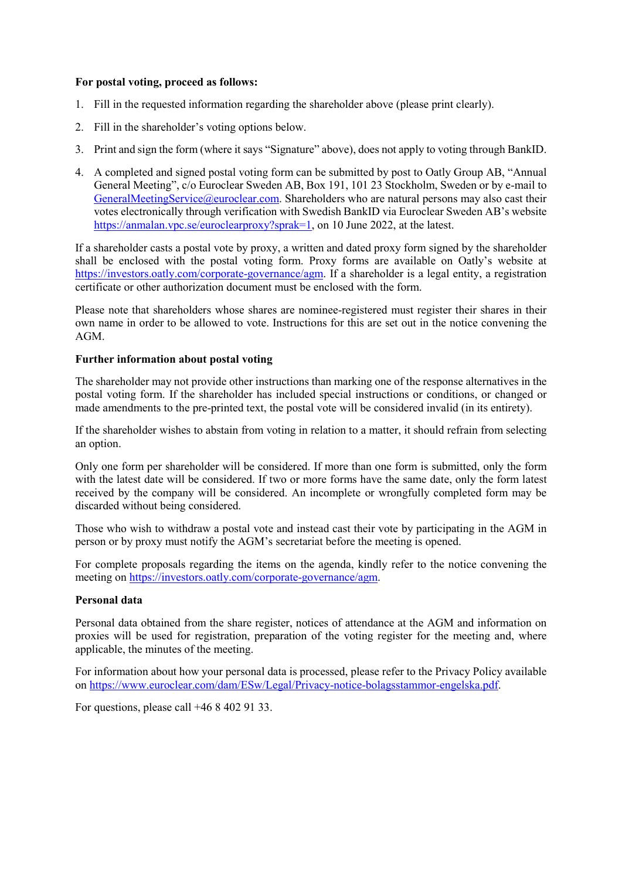## **For postal voting, proceed as follows:**

- 1. Fill in the requested information regarding the shareholder above (please print clearly).
- 2. Fill in the shareholder's voting options below.
- 3. Print and sign the form (where it says "Signature" above), does not apply to voting through BankID.
- 4. A completed and signed postal voting form can be submitted by post to Oatly Group AB, "Annual General Meeting", c/o Euroclear Sweden AB, Box 191, 101 23 Stockholm, Sweden or by e-mail to [GeneralMeetingService@euroclear.com.](mailto:GeneralMeetingService@euroclear.com) Shareholders who are natural persons may also cast their votes electronically through verification with Swedish BankID via Euroclear Sweden AB's website [https://anmalan.vpc.se/euroclearproxy?sprak=1,](https://anmalan.vpc.se/euroclearproxy?sprak=1) on 10 June 2022, at the latest.

If a shareholder casts a postal vote by proxy, a written and dated proxy form signed by the shareholder shall be enclosed with the postal voting form. Proxy forms are available on Oatly's website at [https://investors.oatly.com/corporate-governance/agm.](https://investors.oatly.com/corporate-governance/agm) If a shareholder is a legal entity, a registration certificate or other authorization document must be enclosed with the form.

Please note that shareholders whose shares are nominee-registered must register their shares in their own name in order to be allowed to vote. Instructions for this are set out in the notice convening the AGM.

#### **Further information about postal voting**

The shareholder may not provide other instructions than marking one of the response alternatives in the postal voting form. If the shareholder has included special instructions or conditions, or changed or made amendments to the pre-printed text, the postal vote will be considered invalid (in its entirety).

If the shareholder wishes to abstain from voting in relation to a matter, it should refrain from selecting an option.

Only one form per shareholder will be considered. If more than one form is submitted, only the form with the latest date will be considered. If two or more forms have the same date, only the form latest received by the company will be considered. An incomplete or wrongfully completed form may be discarded without being considered.

Those who wish to withdraw a postal vote and instead cast their vote by participating in the AGM in person or by proxy must notify the AGM's secretariat before the meeting is opened.

For complete proposals regarding the items on the agenda, kindly refer to the notice convening the meeting on [https://investors.oatly.com/corporate-governance/agm.](https://investors.oatly.com/corporate-governance/agm)

## **Personal data**

Personal data obtained from the share register, notices of attendance at the AGM and information on proxies will be used for registration, preparation of the voting register for the meeting and, where applicable, the minutes of the meeting.

For information about how your personal data is processed, please refer to the Privacy Policy available on [https://www.euroclear.com/dam/ESw/Legal/Privacy-notice-bolagsstammor-engelska.pdf.](https://www.euroclear.com/dam/ESw/Legal/Privacy-notice-bolagsstammor-engelska.pdf)

For questions, please call +46 8 402 91 33.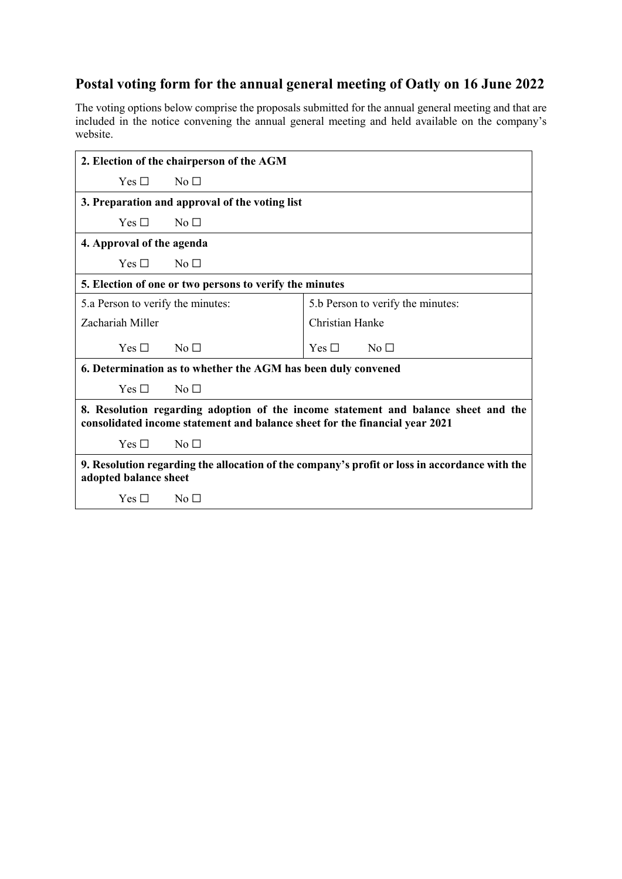# **Postal voting form for the annual general meeting of Oatly on 16 June 2022**

The voting options below comprise the proposals submitted for the annual general meeting and that are included in the notice convening the annual general meeting and held available on the company's website.

| 2. Election of the chairperson of the AGM                                                                                                                         |                                   |  |
|-------------------------------------------------------------------------------------------------------------------------------------------------------------------|-----------------------------------|--|
| $Yes \square$<br>$N0$ $\Box$                                                                                                                                      |                                   |  |
| 3. Preparation and approval of the voting list                                                                                                                    |                                   |  |
| Yes $\Box$<br>No <sub>1</sub>                                                                                                                                     |                                   |  |
| 4. Approval of the agenda                                                                                                                                         |                                   |  |
| Yes $\Box$<br>$N_0 \Box$                                                                                                                                          |                                   |  |
| 5. Election of one or two persons to verify the minutes                                                                                                           |                                   |  |
| 5.a Person to verify the minutes:                                                                                                                                 | 5.b Person to verify the minutes: |  |
| Zachariah Miller                                                                                                                                                  | Christian Hanke                   |  |
| $Yes \sqcap$<br>No <sub>1</sub>                                                                                                                                   | Yes $\Box$<br>No <sub>1</sub>     |  |
| 6. Determination as to whether the AGM has been duly convened                                                                                                     |                                   |  |
| Yes $\Box$<br>No <sub>1</sub>                                                                                                                                     |                                   |  |
| 8. Resolution regarding adoption of the income statement and balance sheet and the<br>consolidated income statement and balance sheet for the financial year 2021 |                                   |  |
| Yes $\Box$<br>$\overline{N}$ $\Box$                                                                                                                               |                                   |  |
| 9. Resolution regarding the allocation of the company's profit or loss in accordance with the<br>adopted balance sheet                                            |                                   |  |
| Yes $\Box$<br>No $\Box$                                                                                                                                           |                                   |  |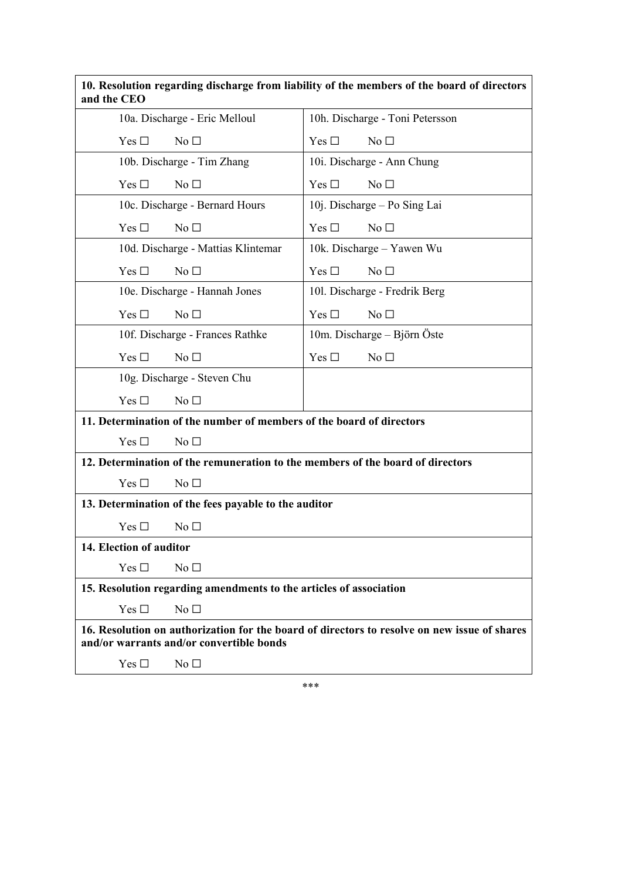| 10. Resolution regarding discharge from liability of the members of the board of directors<br>and the CEO                                |                                  |  |
|------------------------------------------------------------------------------------------------------------------------------------------|----------------------------------|--|
| 10a. Discharge - Eric Melloul                                                                                                            | 10h. Discharge - Toni Petersson  |  |
| No <sub>1</sub><br>Yes $\Box$                                                                                                            | No <sub>1</sub><br>Yes $\Box$    |  |
| 10b. Discharge - Tim Zhang                                                                                                               | 10i. Discharge - Ann Chung       |  |
| Yes $\square$<br>No <sub>1</sub>                                                                                                         | Yes $\square$<br>No <sub>1</sub> |  |
| 10c. Discharge - Bernard Hours                                                                                                           | 10j. Discharge – Po Sing Lai     |  |
| Yes $\Box$<br>No <sub>1</sub>                                                                                                            | Yes $\Box$<br>No <sub>1</sub>    |  |
| 10d. Discharge - Mattias Klintemar                                                                                                       | 10k. Discharge – Yawen Wu        |  |
| Yes $\square$<br>No <sub>1</sub>                                                                                                         | Yes $\square$<br>No <sub>1</sub> |  |
| 10e. Discharge - Hannah Jones                                                                                                            | 101. Discharge - Fredrik Berg    |  |
| Yes $\square$<br>No <sub>1</sub>                                                                                                         | Yes $\Box$<br>No <sub>1</sub>    |  |
| 10f. Discharge - Frances Rathke                                                                                                          | 10m. Discharge - Björn Öste      |  |
| Yes $\Box$<br>No <sub>1</sub>                                                                                                            | Yes $\square$<br>No <sub>1</sub> |  |
| 10g. Discharge - Steven Chu                                                                                                              |                                  |  |
| Yes $\Box$<br>No <sub>1</sub>                                                                                                            |                                  |  |
| 11. Determination of the number of members of the board of directors                                                                     |                                  |  |
| Yes $\Box$<br>No <sub>1</sub>                                                                                                            |                                  |  |
| 12. Determination of the remuneration to the members of the board of directors                                                           |                                  |  |
| Yes $\Box$<br>No $\Box$                                                                                                                  |                                  |  |
| 13. Determination of the fees payable to the auditor                                                                                     |                                  |  |
| Yes $\square$<br>No <sub>1</sub>                                                                                                         |                                  |  |
| 14. Election of auditor                                                                                                                  |                                  |  |
| Yes $\Box$<br>No <sub>1</sub>                                                                                                            |                                  |  |
| 15. Resolution regarding amendments to the articles of association                                                                       |                                  |  |
| Yes $\Box$<br>No <sub>1</sub>                                                                                                            |                                  |  |
| 16. Resolution on authorization for the board of directors to resolve on new issue of shares<br>and/or warrants and/or convertible bonds |                                  |  |
| Yes $\Box$<br>No <sub>1</sub>                                                                                                            |                                  |  |

\*\*\*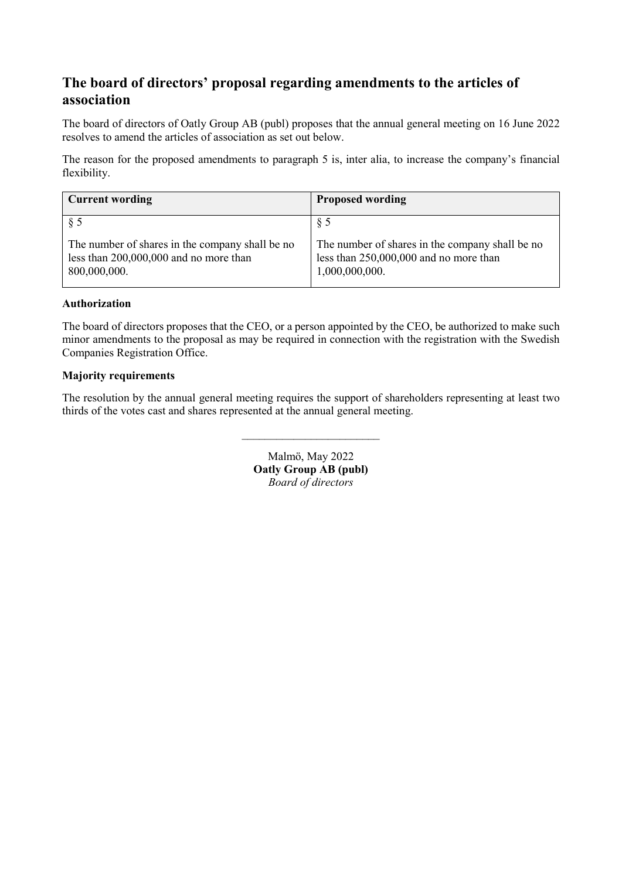# **The board of directors' proposal regarding amendments to the articles of association**

The board of directors of Oatly Group AB (publ) proposes that the annual general meeting on 16 June 2022 resolves to amend the articles of association as set out below.

The reason for the proposed amendments to paragraph 5 is, inter alia, to increase the company's financial flexibility.

| <b>Current wording</b>                                                                                    | <b>Proposed wording</b>                                                                                     |
|-----------------------------------------------------------------------------------------------------------|-------------------------------------------------------------------------------------------------------------|
| § 5                                                                                                       | § 5                                                                                                         |
| The number of shares in the company shall be no<br>less than 200,000,000 and no more than<br>800,000,000. | The number of shares in the company shall be no<br>less than 250,000,000 and no more than<br>1,000,000,000. |

## **Authorization**

The board of directors proposes that the CEO, or a person appointed by the CEO, be authorized to make such minor amendments to the proposal as may be required in connection with the registration with the Swedish Companies Registration Office.

## **Majority requirements**

The resolution by the annual general meeting requires the support of shareholders representing at least two thirds of the votes cast and shares represented at the annual general meeting.

 $\overline{\phantom{a}}$  , where  $\overline{\phantom{a}}$ 

Malmö, May 2022 **Oatly Group AB (publ)**  *Board of directors*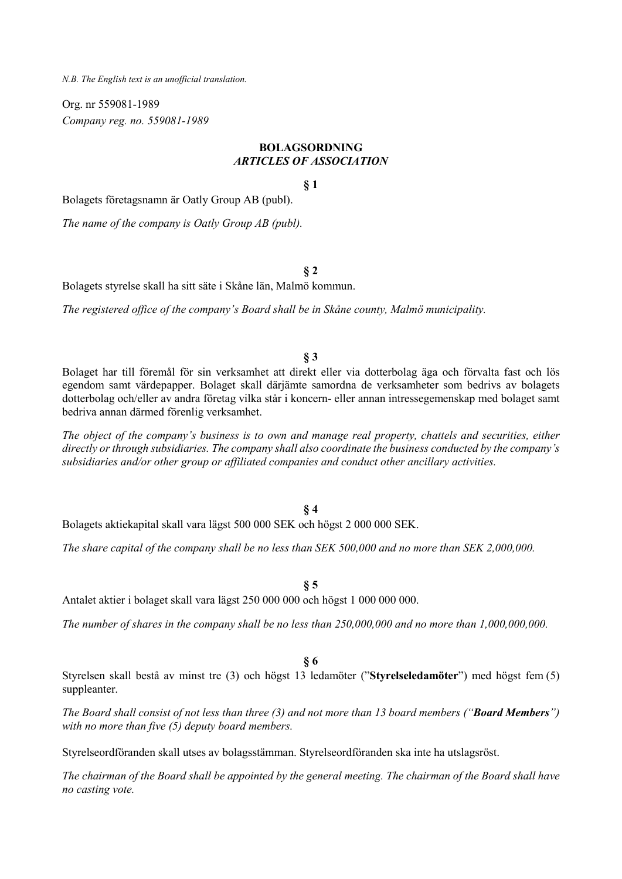*N.B. The English text is an unofficial translation.*

Org. nr 559081-1989 *Company reg. no. 559081-1989* 

# **BOLAGSORDNING**  *ARTICLES OF ASSOCIATION*

**§ 1** 

Bolagets företagsnamn är Oatly Group AB (publ).

*The name of the company is Oatly Group AB (publ).* 

**§ 2** 

Bolagets styrelse skall ha sitt säte i Skåne län, Malmö kommun.

*The registered office of the company's Board shall be in Skåne county, Malmö municipality.* 

#### **§ 3**

Bolaget har till föremål för sin verksamhet att direkt eller via dotterbolag äga och förvalta fast och lös egendom samt värdepapper. Bolaget skall därjämte samordna de verksamheter som bedrivs av bolagets dotterbolag och/eller av andra företag vilka står i koncern- eller annan intressegemenskap med bolaget samt bedriva annan därmed förenlig verksamhet.

*The object of the company's business is to own and manage real property, chattels and securities, either directly or through subsidiaries. The company shall also coordinate the business conducted by the company's subsidiaries and/or other group or affiliated companies and conduct other ancillary activities.* 

#### **§ 4**

Bolagets aktiekapital skall vara lägst 500 000 SEK och högst 2 000 000 SEK.

*The share capital of the company shall be no less than SEK 500,000 and no more than SEK 2,000,000.* 

**§ 5** 

Antalet aktier i bolaget skall vara lägst 250 000 000 och högst 1 000 000 000.

*The number of shares in the company shall be no less than 250,000,000 and no more than 1,000,000,000.* 

#### **§ 6**

Styrelsen skall bestå av minst tre (3) och högst 13 ledamöter ("**Styrelseledamöter**") med högst fem (5) suppleanter.

*The Board shall consist of not less than three (3) and not more than 13 board members ("Board Members") with no more than five (5) deputy board members.* 

Styrelseordföranden skall utses av bolagsstämman. Styrelseordföranden ska inte ha utslagsröst.

*The chairman of the Board shall be appointed by the general meeting. The chairman of the Board shall have no casting vote.*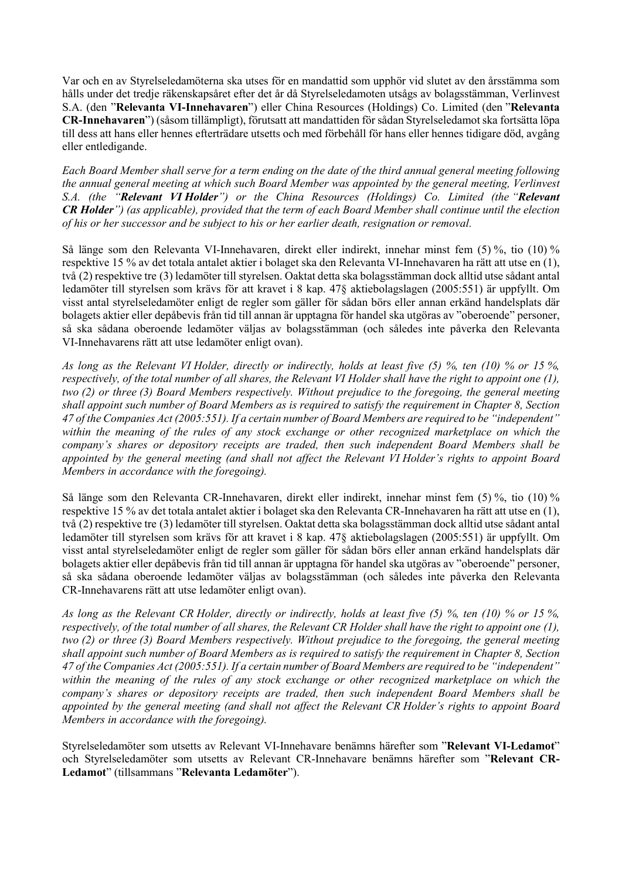Var och en av Styrelseledamöterna ska utses för en mandattid som upphör vid slutet av den årsstämma som hålls under det tredje räkenskapsåret efter det år då Styrelseledamoten utsågs av bolagsstämman, Verlinvest S.A. (den "**Relevanta VI-Innehavaren**") eller China Resources (Holdings) Co. Limited (den "**Relevanta CR-Innehavaren**") (såsom tillämpligt), förutsatt att mandattiden för sådan Styrelseledamot ska fortsätta löpa till dess att hans eller hennes efterträdare utsetts och med förbehåll för hans eller hennes tidigare död, avgång eller entledigande.

*Each Board Member shall serve for a term ending on the date of the third annual general meeting following the annual general meeting at which such Board Member was appointed by the general meeting, Verlinvest S.A. (the "Relevant VI Holder") or the China Resources (Holdings) Co. Limited (the "Relevant CR Holder") (as applicable), provided that the term of each Board Member shall continue until the election of his or her successor and be subject to his or her earlier death, resignation or removal.* 

Så länge som den Relevanta VI-Innehavaren, direkt eller indirekt, innehar minst fem (5) %, tio (10) % respektive 15 % av det totala antalet aktier i bolaget ska den Relevanta VI-Innehavaren ha rätt att utse en (1), två (2) respektive tre (3) ledamöter till styrelsen. Oaktat detta ska bolagsstämman dock alltid utse sådant antal ledamöter till styrelsen som krävs för att kravet i 8 kap. 47§ aktiebolagslagen (2005:551) är uppfyllt. Om visst antal styrelseledamöter enligt de regler som gäller för sådan börs eller annan erkänd handelsplats där bolagets aktier eller depåbevis från tid till annan är upptagna för handel ska utgöras av "oberoende" personer, så ska sådana oberoende ledamöter väljas av bolagsstämman (och således inte påverka den Relevanta VI-Innehavarens rätt att utse ledamöter enligt ovan).

*As long as the Relevant VI Holder, directly or indirectly, holds at least five (5) %, ten (10) % or 15 %, respectively, of the total number of all shares, the Relevant VI Holder shall have the right to appoint one (1), two (2) or three (3) Board Members respectively. Without prejudice to the foregoing, the general meeting shall appoint such number of Board Members as is required to satisfy the requirement in Chapter 8, Section 47 of the Companies Act (2005:551). If a certain number of Board Members are required to be "independent" within the meaning of the rules of any stock exchange or other recognized marketplace on which the company's shares or depository receipts are traded, then such independent Board Members shall be appointed by the general meeting (and shall not affect the Relevant VI Holder's rights to appoint Board Members in accordance with the foregoing).* 

Så länge som den Relevanta CR-Innehavaren, direkt eller indirekt, innehar minst fem (5) %, tio (10) % respektive 15 % av det totala antalet aktier i bolaget ska den Relevanta CR-Innehavaren ha rätt att utse en (1), två (2) respektive tre (3) ledamöter till styrelsen. Oaktat detta ska bolagsstämman dock alltid utse sådant antal ledamöter till styrelsen som krävs för att kravet i 8 kap. 47§ aktiebolagslagen (2005:551) är uppfyllt. Om visst antal styrelseledamöter enligt de regler som gäller för sådan börs eller annan erkänd handelsplats där bolagets aktier eller depåbevis från tid till annan är upptagna för handel ska utgöras av "oberoende" personer, så ska sådana oberoende ledamöter väljas av bolagsstämman (och således inte påverka den Relevanta CR-Innehavarens rätt att utse ledamöter enligt ovan).

*As long as the Relevant CR Holder, directly or indirectly, holds at least five (5) %, ten (10) % or 15 %, respectively, of the total number of all shares, the Relevant CR Holder shall have the right to appoint one (1), two (2) or three (3) Board Members respectively. Without prejudice to the foregoing, the general meeting shall appoint such number of Board Members as is required to satisfy the requirement in Chapter 8, Section 47 of the Companies Act (2005:551). If a certain number of Board Members are required to be "independent" within the meaning of the rules of any stock exchange or other recognized marketplace on which the company's shares or depository receipts are traded, then such independent Board Members shall be appointed by the general meeting (and shall not affect the Relevant CR Holder's rights to appoint Board Members in accordance with the foregoing).* 

Styrelseledamöter som utsetts av Relevant VI-Innehavare benämns härefter som "**Relevant VI-Ledamot**" och Styrelseledamöter som utsetts av Relevant CR-Innehavare benämns härefter som "**Relevant CR-Ledamot**" (tillsammans "**Relevanta Ledamöter**").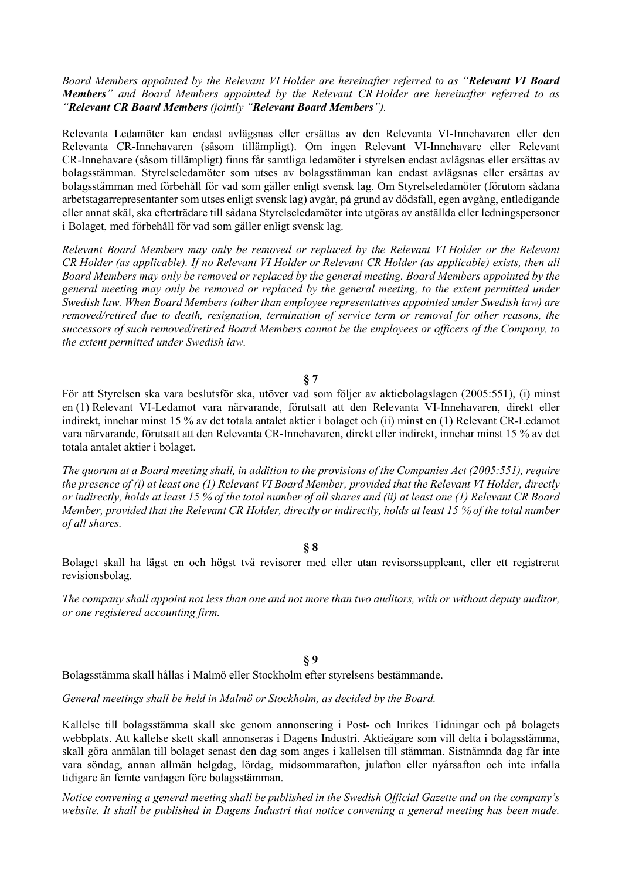#### *Board Members appointed by the Relevant VI Holder are hereinafter referred to as "Relevant VI Board Members" and Board Members appointed by the Relevant CR Holder are hereinafter referred to as "Relevant CR Board Members (jointly "Relevant Board Members").*

Relevanta Ledamöter kan endast avlägsnas eller ersättas av den Relevanta VI-Innehavaren eller den Relevanta CR-Innehavaren (såsom tillämpligt). Om ingen Relevant VI-Innehavare eller Relevant CR-Innehavare (såsom tillämpligt) finns får samtliga ledamöter i styrelsen endast avlägsnas eller ersättas av bolagsstämman. Styrelseledamöter som utses av bolagsstämman kan endast avlägsnas eller ersättas av bolagsstämman med förbehåll för vad som gäller enligt svensk lag. Om Styrelseledamöter (förutom sådana arbetstagarrepresentanter som utses enligt svensk lag) avgår, på grund av dödsfall, egen avgång, entledigande eller annat skäl, ska efterträdare till sådana Styrelseledamöter inte utgöras av anställda eller ledningspersoner i Bolaget, med förbehåll för vad som gäller enligt svensk lag.

*Relevant Board Members may only be removed or replaced by the Relevant VI Holder or the Relevant CR Holder (as applicable). If no Relevant VI Holder or Relevant CR Holder (as applicable) exists, then all Board Members may only be removed or replaced by the general meeting. Board Members appointed by the general meeting may only be removed or replaced by the general meeting, to the extent permitted under Swedish law. When Board Members (other than employee representatives appointed under Swedish law) are removed/retired due to death, resignation, termination of service term or removal for other reasons, the successors of such removed/retired Board Members cannot be the employees or officers of the Company, to the extent permitted under Swedish law.* 

**§ 7** 

För att Styrelsen ska vara beslutsför ska, utöver vad som följer av aktiebolagslagen (2005:551), (i) minst en (1) Relevant VI-Ledamot vara närvarande, förutsatt att den Relevanta VI-Innehavaren, direkt eller indirekt, innehar minst 15 % av det totala antalet aktier i bolaget och (ii) minst en (1) Relevant CR-Ledamot vara närvarande, förutsatt att den Relevanta CR-Innehavaren, direkt eller indirekt, innehar minst 15 % av det totala antalet aktier i bolaget.

*The quorum at a Board meeting shall, in addition to the provisions of the Companies Act (2005:551), require the presence of (i) at least one (1) Relevant VI Board Member, provided that the Relevant VI Holder, directly or indirectly, holds at least 15 % of the total number of all shares and (ii) at least one (1) Relevant CR Board Member, provided that the Relevant CR Holder, directly or indirectly, holds at least 15 % of the total number of all shares.* 

#### **§ 8**

Bolaget skall ha lägst en och högst två revisorer med eller utan revisorssuppleant, eller ett registrerat revisionsbolag.

*The company shall appoint not less than one and not more than two auditors, with or without deputy auditor, or one registered accounting firm.* 

#### **§ 9**

Bolagsstämma skall hållas i Malmö eller Stockholm efter styrelsens bestämmande.

*General meetings shall be held in Malmö or Stockholm, as decided by the Board.* 

Kallelse till bolagsstämma skall ske genom annonsering i Post- och Inrikes Tidningar och på bolagets webbplats. Att kallelse skett skall annonseras i Dagens Industri. Aktieägare som vill delta i bolagsstämma, skall göra anmälan till bolaget senast den dag som anges i kallelsen till stämman. Sistnämnda dag får inte vara söndag, annan allmän helgdag, lördag, midsommarafton, julafton eller nyårsafton och inte infalla tidigare än femte vardagen före bolagsstämman.

*Notice convening a general meeting shall be published in the Swedish Official Gazette and on the company's website. It shall be published in Dagens Industri that notice convening a general meeting has been made.*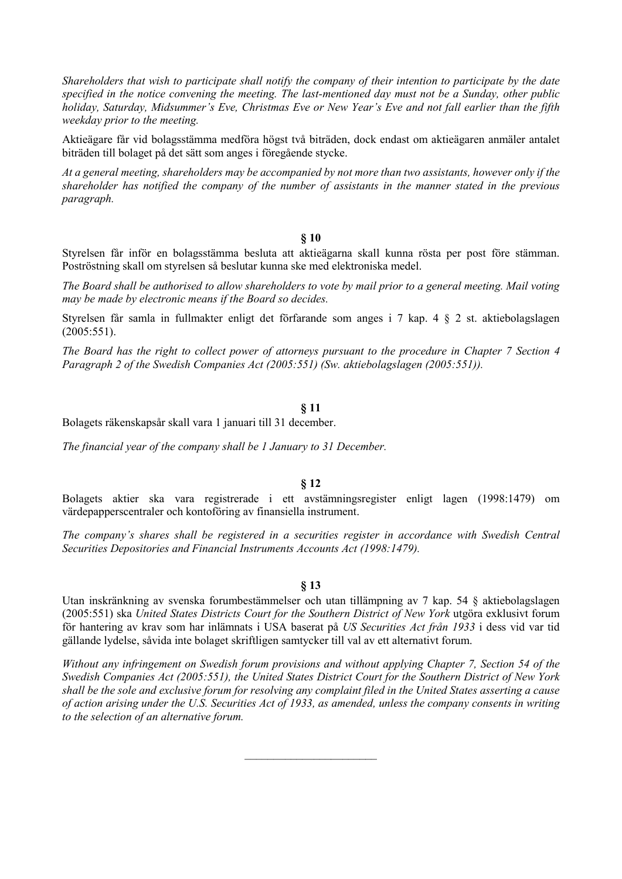*Shareholders that wish to participate shall notify the company of their intention to participate by the date specified in the notice convening the meeting. The last-mentioned day must not be a Sunday, other public holiday, Saturday, Midsummer's Eve, Christmas Eve or New Year's Eve and not fall earlier than the fifth weekday prior to the meeting.* 

Aktieägare får vid bolagsstämma medföra högst två biträden, dock endast om aktieägaren anmäler antalet biträden till bolaget på det sätt som anges i föregående stycke.

*At a general meeting, shareholders may be accompanied by not more than two assistants, however only if the shareholder has notified the company of the number of assistants in the manner stated in the previous paragraph.* 

#### **§ 10**

Styrelsen får inför en bolagsstämma besluta att aktieägarna skall kunna rösta per post före stämman. Poströstning skall om styrelsen så beslutar kunna ske med elektroniska medel.

*The Board shall be authorised to allow shareholders to vote by mail prior to a general meeting. Mail voting may be made by electronic means if the Board so decides.* 

Styrelsen får samla in fullmakter enligt det förfarande som anges i 7 kap. 4 § 2 st. aktiebolagslagen (2005:551).

*The Board has the right to collect power of attorneys pursuant to the procedure in Chapter 7 Section 4 Paragraph 2 of the Swedish Companies Act (2005:551) (Sw. aktiebolagslagen (2005:551)).* 

#### **§ 11**

Bolagets räkenskapsår skall vara 1 januari till 31 december.

*The financial year of the company shall be 1 January to 31 December.* 

#### **§ 12**

Bolagets aktier ska vara registrerade i ett avstämningsregister enligt lagen (1998:1479) om värdepapperscentraler och kontoföring av finansiella instrument.

*The company's shares shall be registered in a securities register in accordance with Swedish Central Securities Depositories and Financial Instruments Accounts Act (1998:1479).* 

#### **§ 13**

Utan inskränkning av svenska forumbestämmelser och utan tillämpning av 7 kap. 54 § aktiebolagslagen (2005:551) ska *United States Districts Court for the Southern District of New York* utgöra exklusivt forum för hantering av krav som har inlämnats i USA baserat på *US Securities Act från 1933* i dess vid var tid gällande lydelse, såvida inte bolaget skriftligen samtycker till val av ett alternativt forum.

*Without any infringement on Swedish forum provisions and without applying Chapter 7, Section 54 of the Swedish Companies Act (2005:551), the United States District Court for the Southern District of New York shall be the sole and exclusive forum for resolving any complaint filed in the United States asserting a cause of action arising under the U.S. Securities Act of 1933, as amended, unless the company consents in writing to the selection of an alternative forum.* 

 $\overline{\phantom{a}}$  , where  $\overline{\phantom{a}}$